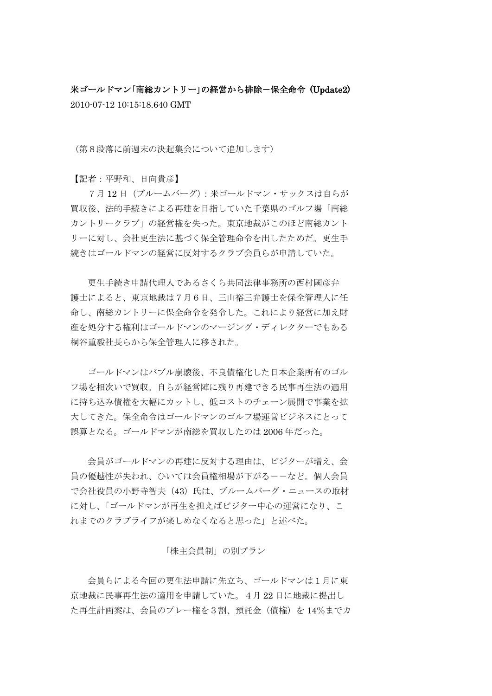米ゴールドマン「南総カントリー」の経営から排除-保全命令 (Update2) 2010-07-12 10:15:18.640 GMT

(第8段落に前週末の決起集会について追加します)

【記者:平野和、日向貴彦】

 7月 12 日(ブルームバーグ):米ゴールドマン・サックスは自らが 買収後、法的手続きによる再建を目指していた千葉県のゴルフ場「南総 カントリークラブ」の経営権を失った。東京地裁がこのほど南総カント リーに対し、会社更生法に基づく保全管理命令を出したためだ。更生手 続きはゴールドマンの経営に反対するクラブ会員らが申請していた。

 更生手続き申請代理人であるさくら共同法律事務所の西村國彦弁 護士によると、東京地裁は7月6日、三山裕三弁護士を保全管理人に任 命し、南総カントリーに保全命令を発令した。これにより経営に加え財 産を処分する権利はゴールドマンのマージング・ディレクターでもある 桐谷重毅社長らから保全管理人に移された。

 ゴールドマンはバブル崩壊後、不良債権化した日本企業所有のゴル フ場を相次いで買収。自らが経営陣に残り再建できる民事再生法の適用 に持ち込み債権を大幅にカットし、低コストのチェーン展開で事業を拡 大してきた。保全命令はゴールドマンのゴルフ場運営ビジネスにとって 誤算となる。ゴールドマンが南総を買収したのは 2006 年だった。

 会員がゴールドマンの再建に反対する理由は、ビジターが増え、会 員の優越性が失われ、ひいては会員権相場が下がるーーなど。個人会員 で会社役員の小野寺智夫(43)氏は、ブルームバーグ・ニュースの取材 に対し、「ゴールドマンが再生を担えばビジター中心の運営になり、こ れまでのクラブライフが楽しめなくなると思った」と述べた。

### 「株主会員制」の別プラン

 会員らによる今回の更生法申請に先立ち、ゴールドマンは1月に東 京地裁に民事再生法の適用を申請していた。4月 22 日に地裁に提出し た再生計画案は、会員のプレー権を3割、預託金(債権)を 14%までカ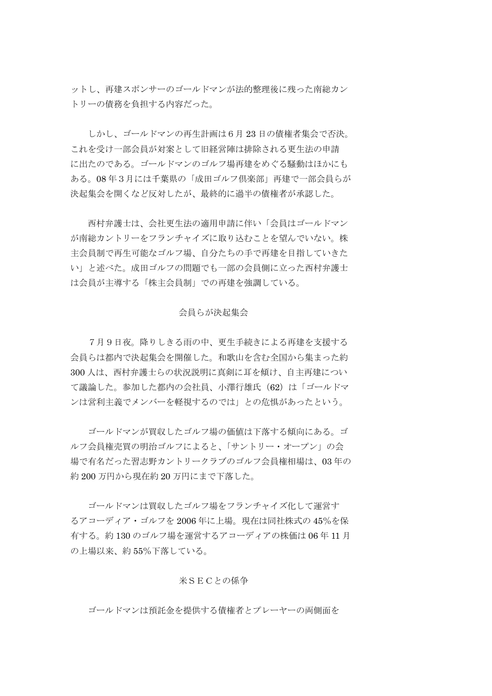ットし、再建スポンサーのゴールドマンが法的整理後に残った南総カン トリーの債務を負担する内容だった。

 しかし、ゴールドマンの再生計画は6月 23 日の債権者集会で否決。 これを受け一部会員が対案として旧経営陣は排除される更生法の申請 に出たのである。ゴールドマンのゴルフ場再建をめぐる騒動はほかにも ある。08 年3月には千葉県の「成田ゴルフ倶楽部」再建で一部会員らが 決起集会を開くなど反対したが、最終的に過半の債権者が承認した。

 西村弁護士は、会社更生法の適用申請に伴い「会員はゴールドマン が南総カントリーをフランチャイズに取り込むことを望んでいない。株 主会員制で再生可能なゴルフ場、自分たちの手で再建を目指していきた い」と述べた。成田ゴルフの問題でも一部の会員側に立った西村弁護士 は会員が主導する「株主会員制」での再建を強調している。

#### 会員らが決起集会

 7月9日夜。降りしきる雨の中、更生手続きによる再建を支援する 会員らは都内で決起集会を開催した。和歌山を含む全国から集まった約 300 人は、西村弁護士らの状況説明に真剣に耳を傾け、自主再建につい て議論した。参加した都内の会社員、小澤行雄氏 (62) は「ゴールドマ ンは営利主義でメンバーを軽視するのでは」との危惧があったという。

 ゴールドマンが買収したゴルフ場の価値は下落する傾向にある。ゴ ルフ会員権売買の明治ゴルフによると、「サントリー・オープン」の会 場で有名だった習志野カントリークラブのゴルフ会員権相場は、03 年の 約 200 万円から現在約 20 万円にまで下落した。

 ゴールドマンは買収したゴルフ場をフランチャイズ化して運営す るアコーディア・ゴルフを 2006 年に上場。現在は同社株式の 45%を保 有する。約 130 のゴルフ場を運営するアコーディアの株価は 06 年 11 月 の上場以来、約 55%下落している。

#### 米SECとの係争

ゴールドマンは預託金を提供する債権者とプレーヤーの両側面を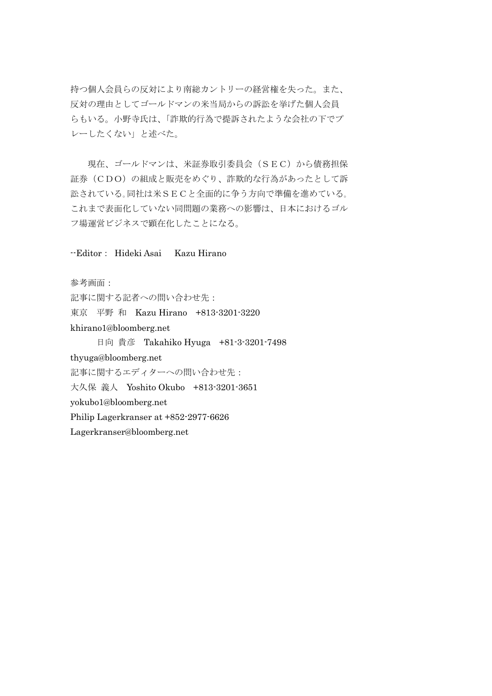持つ個人会員らの反対により南総カントリーの経営権を失った。また、 反対の理由としてゴールドマンの米当局からの訴訟を挙げた個人会員 らもいる。小野寺氏は、「詐欺的行為で提訴されたような会社の下でプ レーしたくない」と述べた。

 現在、ゴールドマンは、米証券取引委員会(SEC)から債務担保 証券(CDO)の組成と販売をめぐり、詐欺的な行為があったとして訴 訟されている。同社は米SECと全面的に争う方向で準備を進めている。 これまで表面化していない同問題の業務への影響は、日本におけるゴル フ場運営ビジネスで顕在化したことになる。

## --Editor: Hideki Asai Kazu Hirano

参考画面:

記事に関する記者への問い合わせ先: 東京 平野 和 Kazu Hirano +813-3201-3220 khirano1@bloomberg.net

 日向 貴彦 Takahiko Hyuga +81-3-3201-7498 thyuga@bloomberg.net 記事に関するエディターへの問い合わせ先: 大久保 義人 Yoshito Okubo +813-3201-3651 yokubo1@bloomberg.net Philip Lagerkranser at +852-2977-6626 Lagerkranser@bloomberg.net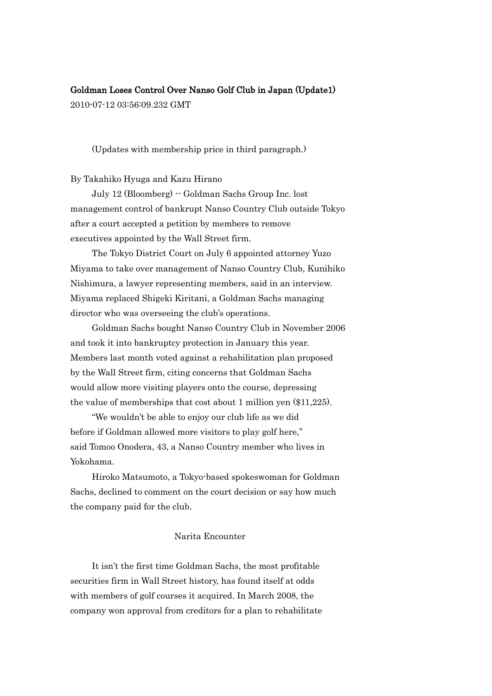# Goldman Loses Control Over Nanso Golf Club in Japan (Update1)

2010-07-12 03:56:09.232 GMT

(Updates with membership price in third paragraph.)

# By Takahiko Hyuga and Kazu Hirano

 July 12 (Bloomberg) -- Goldman Sachs Group Inc. lost management control of bankrupt Nanso Country Club outside Tokyo after a court accepted a petition by members to remove executives appointed by the Wall Street firm.

 The Tokyo District Court on July 6 appointed attorney Yuzo Miyama to take over management of Nanso Country Club, Kunihiko Nishimura, a lawyer representing members, said in an interview. Miyama replaced Shigeki Kiritani, a Goldman Sachs managing director who was overseeing the club's operations.

 Goldman Sachs bought Nanso Country Club in November 2006 and took it into bankruptcy protection in January this year. Members last month voted against a rehabilitation plan proposed by the Wall Street firm, citing concerns that Goldman Sachs would allow more visiting players onto the course, depressing the value of memberships that cost about 1 million yen (\$11,225).

 "We wouldn"t be able to enjoy our club life as we did before if Goldman allowed more visitors to play golf here," said Tomoo Onodera, 43, a Nanso Country member who lives in Yokohama.

 Hiroko Matsumoto, a Tokyo-based spokeswoman for Goldman Sachs, declined to comment on the court decision or say how much the company paid for the club.

### Narita Encounter

 It isn"t the first time Goldman Sachs, the most profitable securities firm in Wall Street history, has found itself at odds with members of golf courses it acquired. In March 2008, the company won approval from creditors for a plan to rehabilitate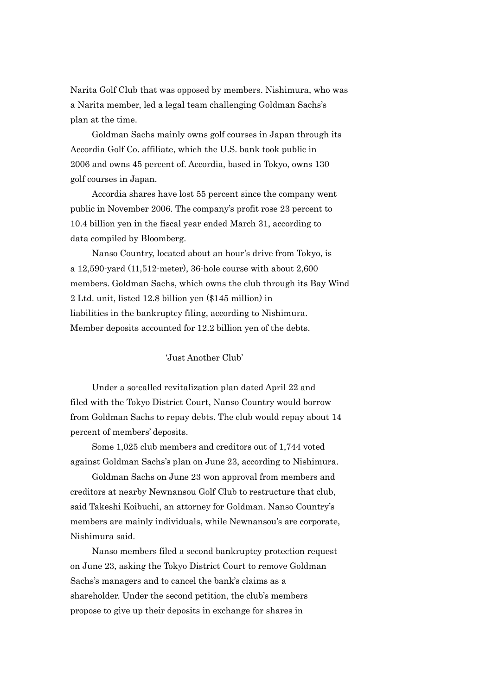Narita Golf Club that was opposed by members. Nishimura, who was a Narita member, led a legal team challenging Goldman Sachs"s plan at the time.

 Goldman Sachs mainly owns golf courses in Japan through its Accordia Golf Co. affiliate, which the U.S. bank took public in 2006 and owns 45 percent of. Accordia, based in Tokyo, owns 130 golf courses in Japan.

 Accordia shares have lost 55 percent since the company went public in November 2006. The company's profit rose 23 percent to 10.4 billion yen in the fiscal year ended March 31, according to data compiled by Bloomberg.

Nanso Country, located about an hour's drive from Tokyo, is a 12,590-yard (11,512-meter), 36-hole course with about 2,600 members. Goldman Sachs, which owns the club through its Bay Wind 2 Ltd. unit, listed 12.8 billion yen (\$145 million) in liabilities in the bankruptcy filing, according to Nishimura. Member deposits accounted for 12.2 billion yen of the debts.

# "Just Another Club"

 Under a so-called revitalization plan dated April 22 and filed with the Tokyo District Court, Nanso Country would borrow from Goldman Sachs to repay debts. The club would repay about 14 percent of members" deposits.

 Some 1,025 club members and creditors out of 1,744 voted against Goldman Sachs"s plan on June 23, according to Nishimura.

 Goldman Sachs on June 23 won approval from members and creditors at nearby Newnansou Golf Club to restructure that club, said Takeshi Koibuchi, an attorney for Goldman. Nanso Country's members are mainly individuals, while Newnansou's are corporate, Nishimura said.

 Nanso members filed a second bankruptcy protection request on June 23, asking the Tokyo District Court to remove Goldman Sachs's managers and to cancel the bank's claims as a shareholder. Under the second petition, the club's members propose to give up their deposits in exchange for shares in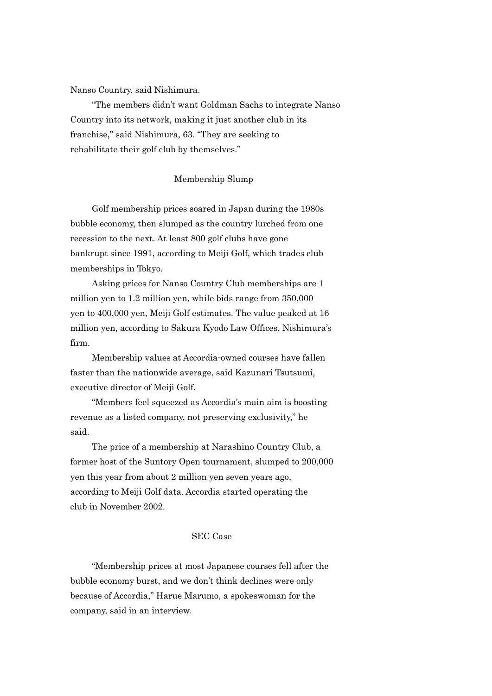Nanso Country, said Nishimura.

 "The members didn"t want Goldman Sachs to integrate Nanso Country into its network, making it just another club in its franchise," said Nishimura, 63. "They are seeking to rehabilitate their golf club by themselves."

# Membership Slump

 Golf membership prices soared in Japan during the 1980s bubble economy, then slumped as the country lurched from one recession to the next. At least 800 golf clubs have gone bankrupt since 1991, according to Meiji Golf, which trades club memberships in Tokyo.

 Asking prices for Nanso Country Club memberships are 1 million yen to 1.2 million yen, while bids range from 350,000 yen to 400,000 yen, Meiji Golf estimates. The value peaked at 16 million yen, according to Sakura Kyodo Law Offices, Nishimura's firm.

 Membership values at Accordia-owned courses have fallen faster than the nationwide average, said Kazunari Tsutsumi, executive director of Meiji Golf.

"Members feel squeezed as Accordia's main aim is boosting revenue as a listed company, not preserving exclusivity," he said.

 The price of a membership at Narashino Country Club, a former host of the Suntory Open tournament, slumped to 200,000 yen this year from about 2 million yen seven years ago, according to Meiji Golf data. Accordia started operating the club in November 2002.

### SEC Case

 "Membership prices at most Japanese courses fell after the bubble economy burst, and we don"t think declines were only because of Accordia," Harue Marumo, a spokeswoman for the company, said in an interview.